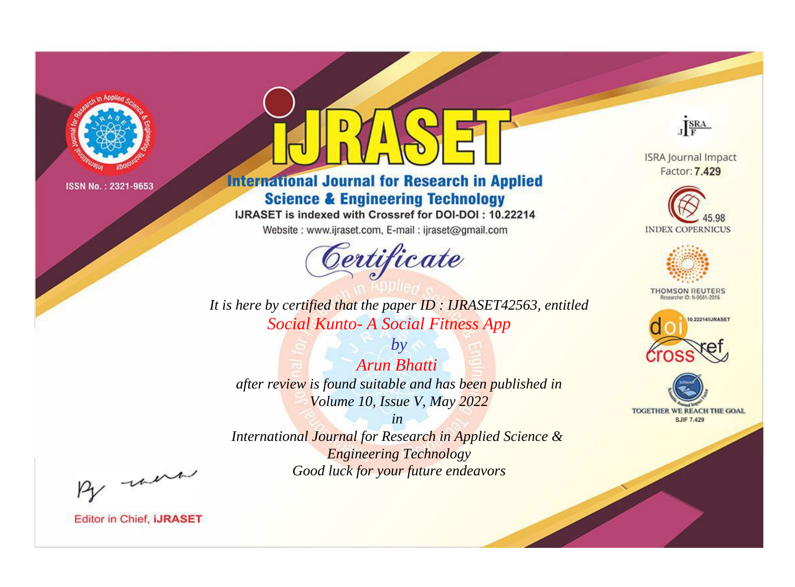

# **International Journal for Research in Applied Science & Engineering Technology**

IJRASET is indexed with Crossref for DOI-DOI: 10.22214

Website: www.ijraset.com, E-mail: ijraset@gmail.com



JERA

**ISRA Journal Impact** Factor: 7.429





**THOMSON REUTERS** 



TOGETHER WE REACH THE GOAL **SJIF 7.429** 

*It is here by certified that the paper ID : IJRASET42563, entitled Social Kunto- A Social Fitness App*

*by Arun Bhatti after review is found suitable and has been published in Volume 10, Issue V, May 2022*

*in* 

*International Journal for Research in Applied Science & Engineering Technology Good luck for your future endeavors*

By morn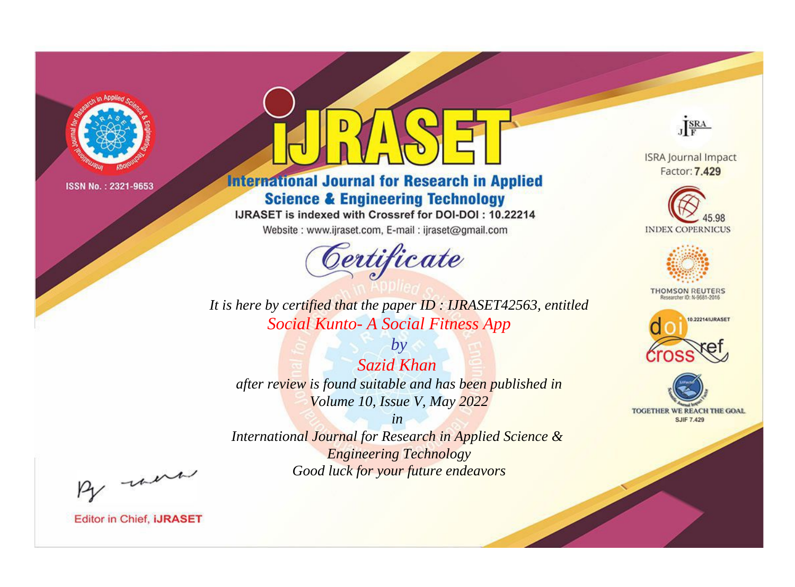

# **International Journal for Research in Applied Science & Engineering Technology**

IJRASET is indexed with Crossref for DOI-DOI: 10.22214

Website: www.ijraset.com, E-mail: ijraset@gmail.com



JERA

**ISRA Journal Impact** Factor: 7.429





**THOMSON REUTERS** 



TOGETHER WE REACH THE GOAL **SJIF 7.429** 

*It is here by certified that the paper ID : IJRASET42563, entitled Social Kunto- A Social Fitness App*

*by Sazid Khan after review is found suitable and has been published in Volume 10, Issue V, May 2022*

*in* 

*International Journal for Research in Applied Science & Engineering Technology Good luck for your future endeavors*

By morn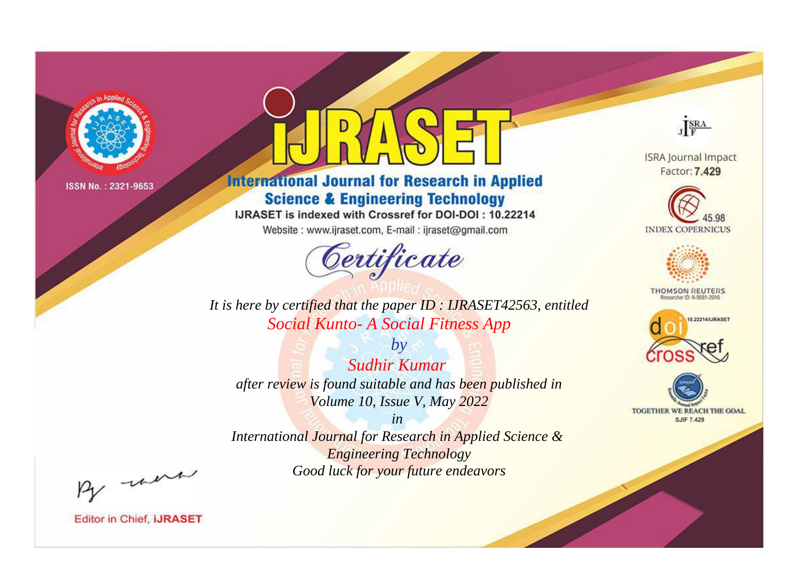

# **International Journal for Research in Applied Science & Engineering Technology**

IJRASET is indexed with Crossref for DOI-DOI: 10.22214

Website: www.ijraset.com, E-mail: ijraset@gmail.com



JERA

**ISRA Journal Impact** Factor: 7.429





**THOMSON REUTERS** 



TOGETHER WE REACH THE GOAL **SJIF 7.429** 

*It is here by certified that the paper ID : IJRASET42563, entitled Social Kunto- A Social Fitness App*

*by Sudhir Kumar after review is found suitable and has been published in Volume 10, Issue V, May 2022*

*in* 

*International Journal for Research in Applied Science & Engineering Technology Good luck for your future endeavors*

By morn